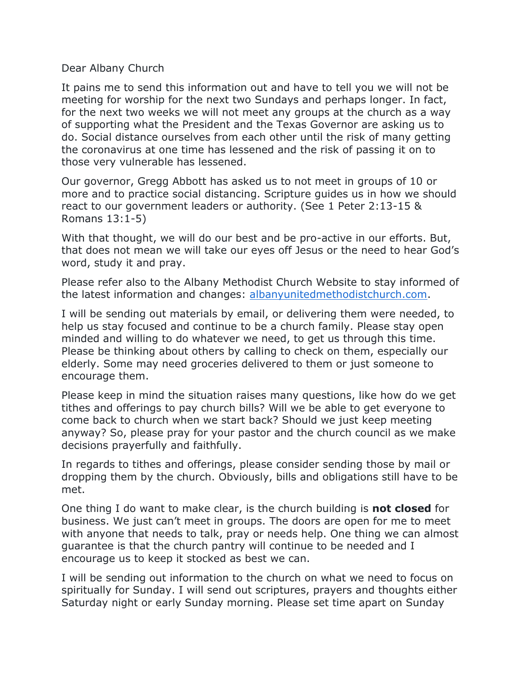## Dear Albany Church

It pains me to send this information out and have to tell you we will not be meeting for worship for the next two Sundays and perhaps longer. In fact, for the next two weeks we will not meet any groups at the church as a way of supporting what the President and the Texas Governor are asking us to do. Social distance ourselves from each other until the risk of many getting the coronavirus at one time has lessened and the risk of passing it on to those very vulnerable has lessened.

Our governor, Gregg Abbott has asked us to not meet in groups of 10 or more and to practice social distancing. Scripture guides us in how we should react to our government leaders or authority. (See 1 Peter 2:13-15 & Romans 13:1-5)

With that thought, we will do our best and be pro-active in our efforts. But, that does not mean we will take our eyes off Jesus or the need to hear God's word, study it and pray.

Please refer also to the Albany Methodist Church Website to stay informed of the latest information and changes: [albanyunitedmethodistchurch.com.](http://albanyunitedmethodistchurch.com/)

I will be sending out materials by email, or delivering them were needed, to help us stay focused and continue to be a church family. Please stay open minded and willing to do whatever we need, to get us through this time. Please be thinking about others by calling to check on them, especially our elderly. Some may need groceries delivered to them or just someone to encourage them.

Please keep in mind the situation raises many questions, like how do we get tithes and offerings to pay church bills? Will we be able to get everyone to come back to church when we start back? Should we just keep meeting anyway? So, please pray for your pastor and the church council as we make decisions prayerfully and faithfully.

In regards to tithes and offerings, please consider sending those by mail or dropping them by the church. Obviously, bills and obligations still have to be met.

One thing I do want to make clear, is the church building is **not closed** for business. We just can't meet in groups. The doors are open for me to meet with anyone that needs to talk, pray or needs help. One thing we can almost guarantee is that the church pantry will continue to be needed and I encourage us to keep it stocked as best we can.

I will be sending out information to the church on what we need to focus on spiritually for Sunday. I will send out scriptures, prayers and thoughts either Saturday night or early Sunday morning. Please set time apart on Sunday